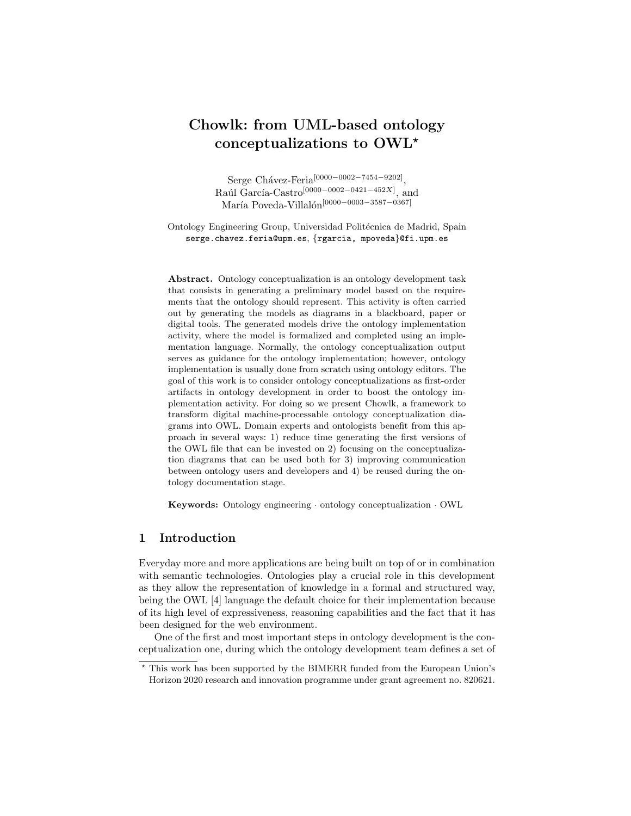# Chowlk: from UML-based ontology conceptualizations to OWL<sup>\*</sup>

 $Serge Chávez-Feria^{[0000-0002-7454-9202]},$ Raúl García-Castro<sup>[0000–0002–0421–452X]</sup>, and María Poveda-Villalón<sup>[0000–0003–3587–0367]</sup>

Ontology Engineering Group, Universidad Politécnica de Madrid, Spain serge.chavez.feria@upm.es, {rgarcia, mpoveda}@fi.upm.es

Abstract. Ontology conceptualization is an ontology development task that consists in generating a preliminary model based on the requirements that the ontology should represent. This activity is often carried out by generating the models as diagrams in a blackboard, paper or digital tools. The generated models drive the ontology implementation activity, where the model is formalized and completed using an implementation language. Normally, the ontology conceptualization output serves as guidance for the ontology implementation; however, ontology implementation is usually done from scratch using ontology editors. The goal of this work is to consider ontology conceptualizations as first-order artifacts in ontology development in order to boost the ontology implementation activity. For doing so we present Chowlk, a framework to transform digital machine-processable ontology conceptualization diagrams into OWL. Domain experts and ontologists benefit from this approach in several ways: 1) reduce time generating the first versions of the OWL file that can be invested on 2) focusing on the conceptualization diagrams that can be used both for 3) improving communication between ontology users and developers and 4) be reused during the ontology documentation stage.

Keywords: Ontology engineering · ontology conceptualization · OWL

# 1 Introduction

Everyday more and more applications are being built on top of or in combination with semantic technologies. Ontologies play a crucial role in this development as they allow the representation of knowledge in a formal and structured way, being the OWL [4] language the default choice for their implementation because of its high level of expressiveness, reasoning capabilities and the fact that it has been designed for the web environment.

One of the first and most important steps in ontology development is the conceptualization one, during which the ontology development team defines a set of

<sup>⋆</sup> This work has been supported by the BIMERR funded from the European Union's Horizon 2020 research and innovation programme under grant agreement no. 820621.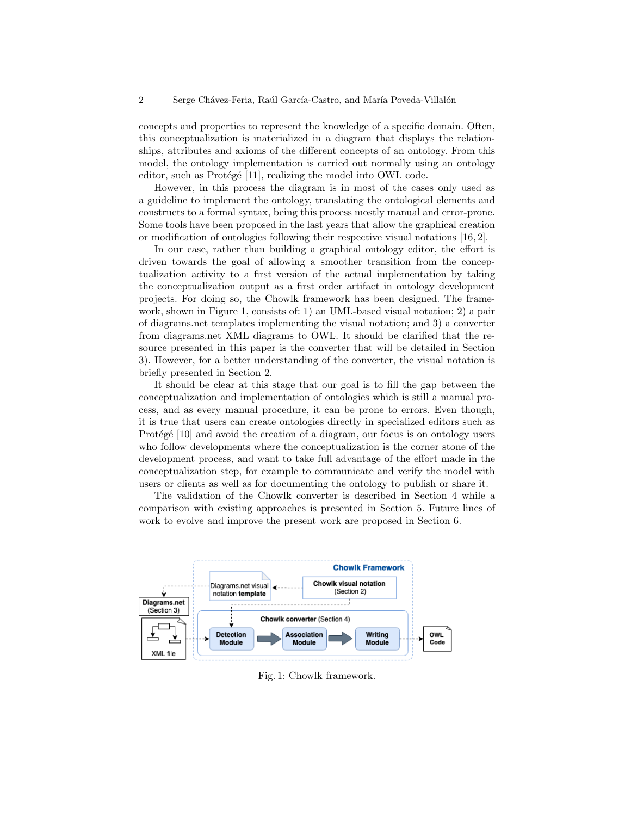concepts and properties to represent the knowledge of a specific domain. Often, this conceptualization is materialized in a diagram that displays the relationships, attributes and axioms of the different concepts of an ontology. From this model, the ontology implementation is carried out normally using an ontology editor, such as Protégé [11], realizing the model into OWL code.

However, in this process the diagram is in most of the cases only used as a guideline to implement the ontology, translating the ontological elements and constructs to a formal syntax, being this process mostly manual and error-prone. Some tools have been proposed in the last years that allow the graphical creation or modification of ontologies following their respective visual notations [16, 2].

In our case, rather than building a graphical ontology editor, the effort is driven towards the goal of allowing a smoother transition from the conceptualization activity to a first version of the actual implementation by taking the conceptualization output as a first order artifact in ontology development projects. For doing so, the Chowlk framework has been designed. The framework, shown in Figure 1, consists of: 1) an UML-based visual notation; 2) a pair of diagrams.net templates implementing the visual notation; and 3) a converter from diagrams.net XML diagrams to OWL. It should be clarified that the resource presented in this paper is the converter that will be detailed in Section 3). However, for a better understanding of the converter, the visual notation is briefly presented in Section 2.

It should be clear at this stage that our goal is to fill the gap between the conceptualization and implementation of ontologies which is still a manual process, and as every manual procedure, it can be prone to errors. Even though, it is true that users can create ontologies directly in specialized editors such as Protégé [10] and avoid the creation of a diagram, our focus is on ontology users who follow developments where the conceptualization is the corner stone of the development process, and want to take full advantage of the effort made in the conceptualization step, for example to communicate and verify the model with users or clients as well as for documenting the ontology to publish or share it.

The validation of the Chowlk converter is described in Section 4 while a comparison with existing approaches is presented in Section 5. Future lines of work to evolve and improve the present work are proposed in Section 6.



Fig. 1: Chowlk framework.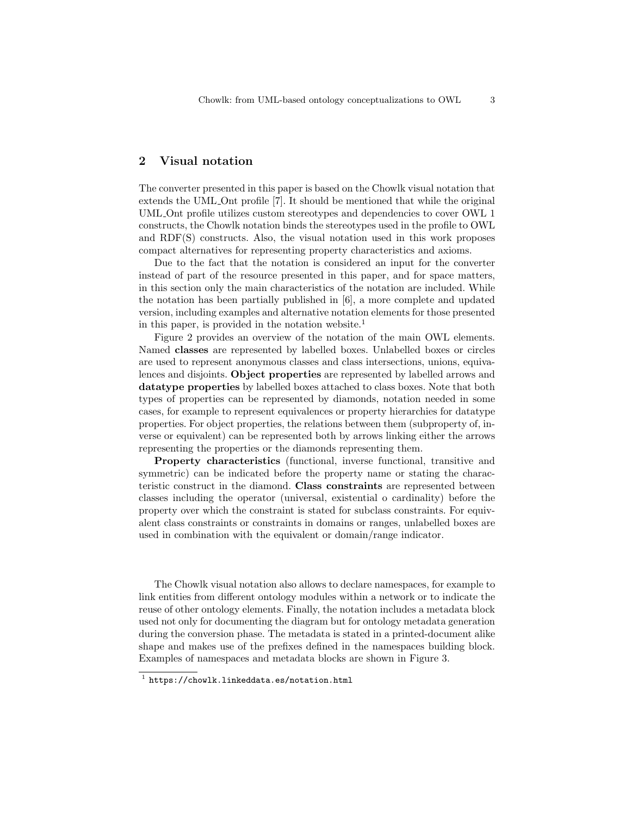# 2 Visual notation

The converter presented in this paper is based on the Chowlk visual notation that extends the UML Ont profile [7]. It should be mentioned that while the original UML Ont profile utilizes custom stereotypes and dependencies to cover OWL 1 constructs, the Chowlk notation binds the stereotypes used in the profile to OWL and RDF(S) constructs. Also, the visual notation used in this work proposes compact alternatives for representing property characteristics and axioms.

Due to the fact that the notation is considered an input for the converter instead of part of the resource presented in this paper, and for space matters, in this section only the main characteristics of the notation are included. While the notation has been partially published in [6], a more complete and updated version, including examples and alternative notation elements for those presented in this paper, is provided in the notation website.<sup>1</sup>

Figure 2 provides an overview of the notation of the main OWL elements. Named classes are represented by labelled boxes. Unlabelled boxes or circles are used to represent anonymous classes and class intersections, unions, equivalences and disjoints. Object properties are represented by labelled arrows and datatype properties by labelled boxes attached to class boxes. Note that both types of properties can be represented by diamonds, notation needed in some cases, for example to represent equivalences or property hierarchies for datatype properties. For object properties, the relations between them (subproperty of, inverse or equivalent) can be represented both by arrows linking either the arrows representing the properties or the diamonds representing them.

Property characteristics (functional, inverse functional, transitive and symmetric) can be indicated before the property name or stating the characteristic construct in the diamond. Class constraints are represented between classes including the operator (universal, existential o cardinality) before the property over which the constraint is stated for subclass constraints. For equivalent class constraints or constraints in domains or ranges, unlabelled boxes are used in combination with the equivalent or domain/range indicator.

The Chowlk visual notation also allows to declare namespaces, for example to link entities from different ontology modules within a network or to indicate the reuse of other ontology elements. Finally, the notation includes a metadata block used not only for documenting the diagram but for ontology metadata generation during the conversion phase. The metadata is stated in a printed-document alike shape and makes use of the prefixes defined in the namespaces building block. Examples of namespaces and metadata blocks are shown in Figure 3.

<sup>1</sup> https://chowlk.linkeddata.es/notation.html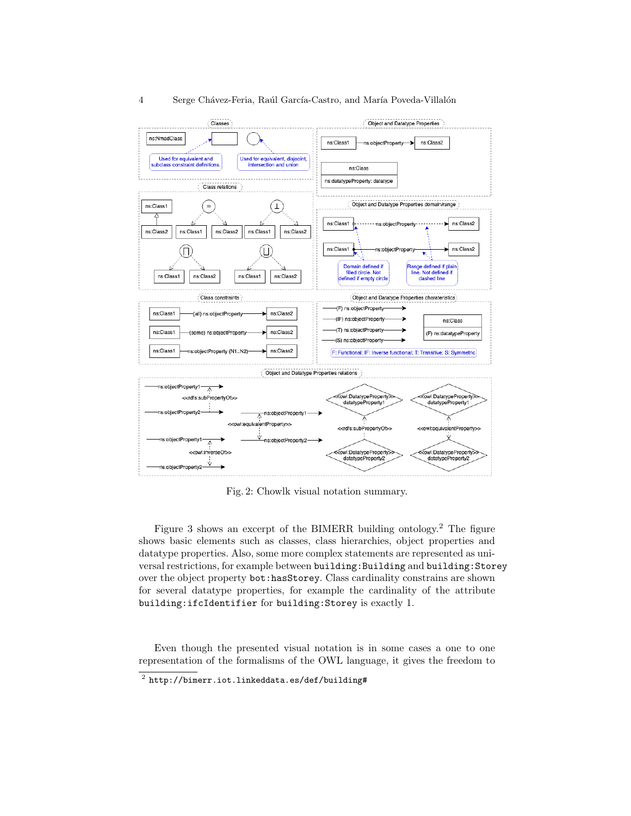



Fig. 2: Chowlk visual notation summary.

Figure 3 shows an excerpt of the BIMERR building ontology.<sup>2</sup> The figure shows basic elements such as classes, class hierarchies, object properties and datatype properties. Also, some more complex statements are represented as universal restrictions, for example between building:Building and building:Storey over the object property bot:hasStorey. Class cardinality constrains are shown for several datatype properties, for example the cardinality of the attribute building:ifcIdentifier for building:Storey is exactly 1.

Even though the presented visual notation is in some cases a one to one representation of the formalisms of the OWL language, it gives the freedom to

 $^{\rm 2}$  http://bimerr.iot.linkeddata.es/def/building#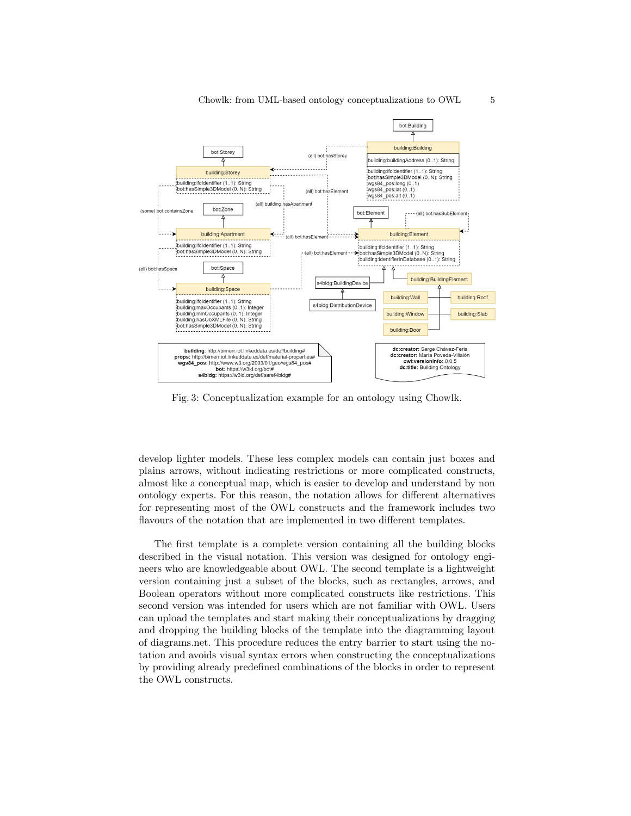

Fig. 3: Conceptualization example for an ontology using Chowlk.

develop lighter models. These less complex models can contain just boxes and plains arrows, without indicating restrictions or more complicated constructs, almost like a conceptual map, which is easier to develop and understand by non ontology experts. For this reason, the notation allows for different alternatives for representing most of the OWL constructs and the framework includes two flavours of the notation that are implemented in two different templates.

The first template is a complete version containing all the building blocks described in the visual notation. This version was designed for ontology engineers who are knowledgeable about OWL. The second template is a lightweight version containing just a subset of the blocks, such as rectangles, arrows, and Boolean operators without more complicated constructs like restrictions. This second version was intended for users which are not familiar with OWL. Users can upload the templates and start making their conceptualizations by dragging and dropping the building blocks of the template into the diagramming layout of diagrams.net. This procedure reduces the entry barrier to start using the notation and avoids visual syntax errors when constructing the conceptualizations by providing already predefined combinations of the blocks in order to represent the OWL constructs.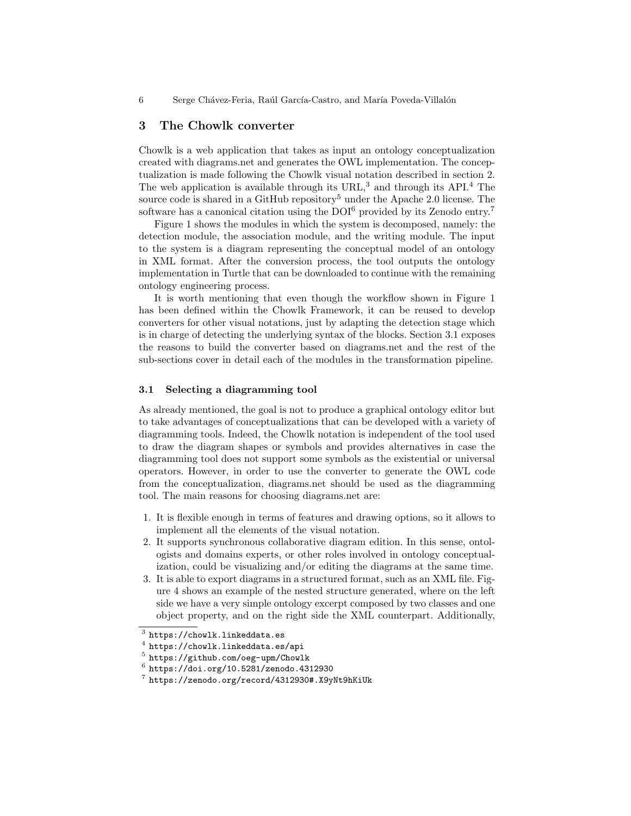# 3 The Chowlk converter

Chowlk is a web application that takes as input an ontology conceptualization created with diagrams.net and generates the OWL implementation. The conceptualization is made following the Chowlk visual notation described in section 2. The web application is available through its  $URL<sup>3</sup>$  and through its API.<sup>4</sup> The source code is shared in a GitHub repository<sup>5</sup> under the Apache 2.0 license. The software has a canonical citation using the  $D O I^6$  provided by its Zenodo entry.<sup>7</sup>

Figure 1 shows the modules in which the system is decomposed, namely: the detection module, the association module, and the writing module. The input to the system is a diagram representing the conceptual model of an ontology in XML format. After the conversion process, the tool outputs the ontology implementation in Turtle that can be downloaded to continue with the remaining ontology engineering process.

It is worth mentioning that even though the workflow shown in Figure 1 has been defined within the Chowlk Framework, it can be reused to develop converters for other visual notations, just by adapting the detection stage which is in charge of detecting the underlying syntax of the blocks. Section 3.1 exposes the reasons to build the converter based on diagrams.net and the rest of the sub-sections cover in detail each of the modules in the transformation pipeline.

# 3.1 Selecting a diagramming tool

As already mentioned, the goal is not to produce a graphical ontology editor but to take advantages of conceptualizations that can be developed with a variety of diagramming tools. Indeed, the Chowlk notation is independent of the tool used to draw the diagram shapes or symbols and provides alternatives in case the diagramming tool does not support some symbols as the existential or universal operators. However, in order to use the converter to generate the OWL code from the conceptualization, diagrams.net should be used as the diagramming tool. The main reasons for choosing diagrams.net are:

- 1. It is flexible enough in terms of features and drawing options, so it allows to implement all the elements of the visual notation.
- 2. It supports synchronous collaborative diagram edition. In this sense, ontologists and domains experts, or other roles involved in ontology conceptualization, could be visualizing and/or editing the diagrams at the same time.
- 3. It is able to export diagrams in a structured format, such as an XML file. Figure 4 shows an example of the nested structure generated, where on the left side we have a very simple ontology excerpt composed by two classes and one object property, and on the right side the XML counterpart. Additionally,

 $^3$  https://chowlk.linkeddata.es

 $^4$  https://chowlk.linkeddata.es/api

<sup>5</sup> https://github.com/oeg-upm/Chowlk

 $^6$  https://doi.org/10.5281/zenodo.4312930

<sup>7</sup> https://zenodo.org/record/4312930#.X9yNt9hKiUk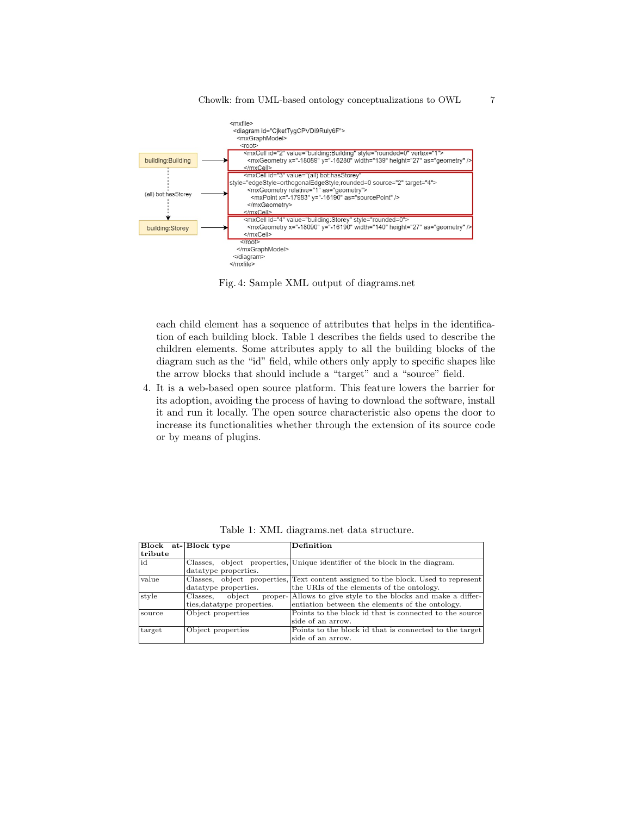

Fig. 4: Sample XML output of diagrams.net

each child element has a sequence of attributes that helps in the identification of each building block. Table 1 describes the fields used to describe the children elements. Some attributes apply to all the building blocks of the diagram such as the "id" field, while others only apply to specific shapes like the arrow blocks that should include a "target" and a "source" field.

4. It is a web-based open source platform. This feature lowers the barrier for its adoption, avoiding the process of having to download the software, install it and run it locally. The open source characteristic also opens the door to increase its functionalities whether through the extension of its source code or by means of plugins.

|         | Block at-Block type         | Definition                                                                        |
|---------|-----------------------------|-----------------------------------------------------------------------------------|
| tribute |                             |                                                                                   |
| id      |                             | Classes, object properties, Unique identifier of the block in the diagram.        |
|         | datatype properties.        |                                                                                   |
| value   |                             | Classes, object properties, Text content assigned to the block. Used to represent |
|         | datatype properties.        | the URIs of the elements of the ontology.                                         |
| style   | object<br>Classes,          | proper-Allows to give style to the blocks and make a differ-                      |
|         | ties, data type properties. | entiation between the elements of the ontology.                                   |
| source  | Object properties           | Points to the block id that is connected to the source                            |
|         |                             | side of an arrow.                                                                 |
| target  | Object properties           | Points to the block id that is connected to the target                            |
|         |                             | side of an arrow.                                                                 |

Table 1: XML diagrams.net data structure.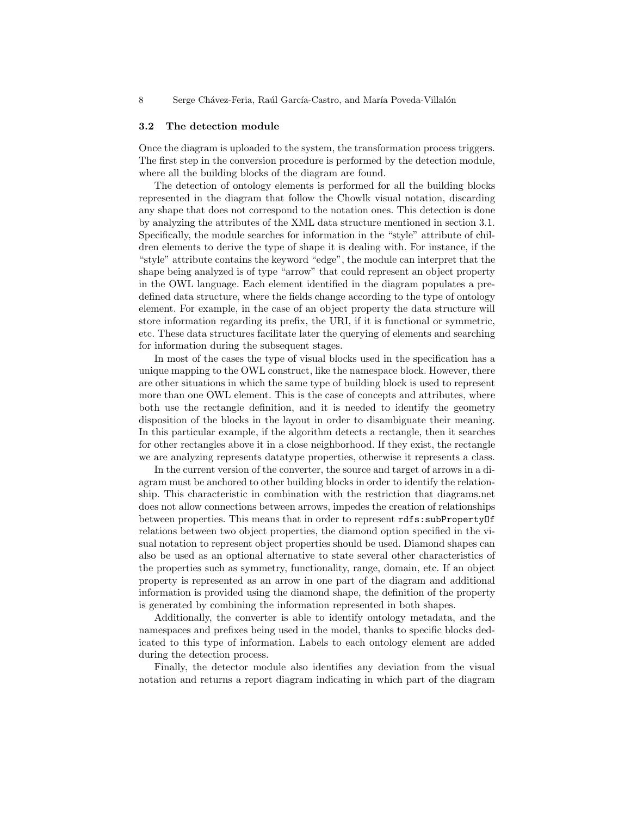#### 3.2 The detection module

Once the diagram is uploaded to the system, the transformation process triggers. The first step in the conversion procedure is performed by the detection module, where all the building blocks of the diagram are found.

The detection of ontology elements is performed for all the building blocks represented in the diagram that follow the Chowlk visual notation, discarding any shape that does not correspond to the notation ones. This detection is done by analyzing the attributes of the XML data structure mentioned in section 3.1. Specifically, the module searches for information in the "style" attribute of children elements to derive the type of shape it is dealing with. For instance, if the "style" attribute contains the keyword "edge", the module can interpret that the shape being analyzed is of type "arrow" that could represent an object property in the OWL language. Each element identified in the diagram populates a predefined data structure, where the fields change according to the type of ontology element. For example, in the case of an object property the data structure will store information regarding its prefix, the URI, if it is functional or symmetric, etc. These data structures facilitate later the querying of elements and searching for information during the subsequent stages.

In most of the cases the type of visual blocks used in the specification has a unique mapping to the OWL construct, like the namespace block. However, there are other situations in which the same type of building block is used to represent more than one OWL element. This is the case of concepts and attributes, where both use the rectangle definition, and it is needed to identify the geometry disposition of the blocks in the layout in order to disambiguate their meaning. In this particular example, if the algorithm detects a rectangle, then it searches for other rectangles above it in a close neighborhood. If they exist, the rectangle we are analyzing represents datatype properties, otherwise it represents a class.

In the current version of the converter, the source and target of arrows in a diagram must be anchored to other building blocks in order to identify the relationship. This characteristic in combination with the restriction that diagrams.net does not allow connections between arrows, impedes the creation of relationships between properties. This means that in order to represent rdfs:subPropertyOf relations between two object properties, the diamond option specified in the visual notation to represent object properties should be used. Diamond shapes can also be used as an optional alternative to state several other characteristics of the properties such as symmetry, functionality, range, domain, etc. If an object property is represented as an arrow in one part of the diagram and additional information is provided using the diamond shape, the definition of the property is generated by combining the information represented in both shapes.

Additionally, the converter is able to identify ontology metadata, and the namespaces and prefixes being used in the model, thanks to specific blocks dedicated to this type of information. Labels to each ontology element are added during the detection process.

Finally, the detector module also identifies any deviation from the visual notation and returns a report diagram indicating in which part of the diagram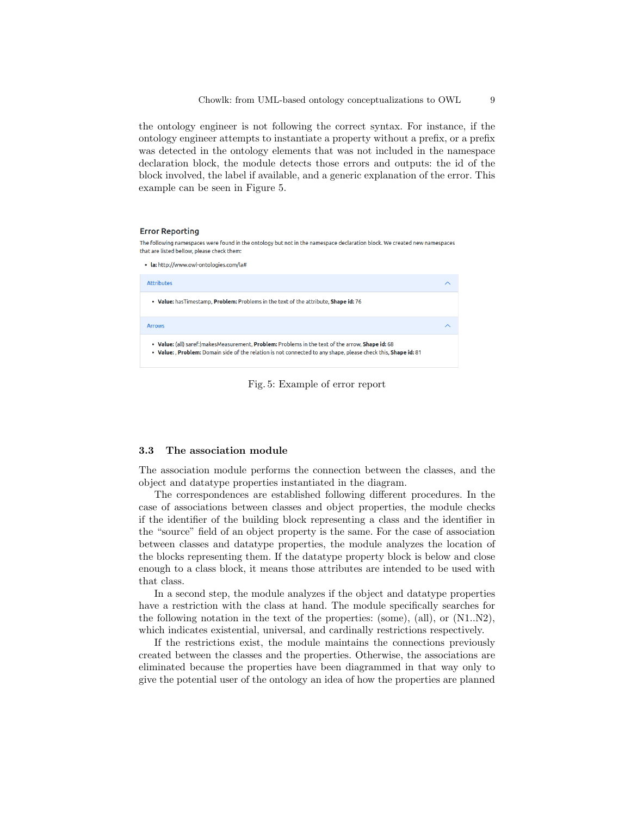the ontology engineer is not following the correct syntax. For instance, if the ontology engineer attempts to instantiate a property without a prefix, or a prefix was detected in the ontology elements that was not included in the namespace declaration block, the module detects those errors and outputs: the id of the block involved, the label if available, and a generic explanation of the error. This example can be seen in Figure 5.

#### **Error Reporting**

The following namespaces were found in the ontology but not in the namespace declaration block. We created new namespaces that are listed bellow, please check them:

· la: http://www.owl-ontologies.com/la#

| <b>Attributes</b>                                                                                                                                                                                                   |  |  |  |
|---------------------------------------------------------------------------------------------------------------------------------------------------------------------------------------------------------------------|--|--|--|
| • Value: has Timestamp, Problem: Problems in the text of the attribute, Shape id: 76                                                                                                                                |  |  |  |
| <b>Arrows</b>                                                                                                                                                                                                       |  |  |  |
| . Value: (all) saref: makes Measurement, Problem: Problems in the text of the arrow, Shape id: 68<br>. Value: , Problem: Domain side of the relation is not connected to any shape, please check this, Shape id: 81 |  |  |  |



#### 3.3 The association module

The association module performs the connection between the classes, and the object and datatype properties instantiated in the diagram.

The correspondences are established following different procedures. In the case of associations between classes and object properties, the module checks if the identifier of the building block representing a class and the identifier in the "source" field of an object property is the same. For the case of association between classes and datatype properties, the module analyzes the location of the blocks representing them. If the datatype property block is below and close enough to a class block, it means those attributes are intended to be used with that class.

In a second step, the module analyzes if the object and datatype properties have a restriction with the class at hand. The module specifically searches for the following notation in the text of the properties: (some), (all), or (N1..N2), which indicates existential, universal, and cardinally restrictions respectively.

If the restrictions exist, the module maintains the connections previously created between the classes and the properties. Otherwise, the associations are eliminated because the properties have been diagrammed in that way only to give the potential user of the ontology an idea of how the properties are planned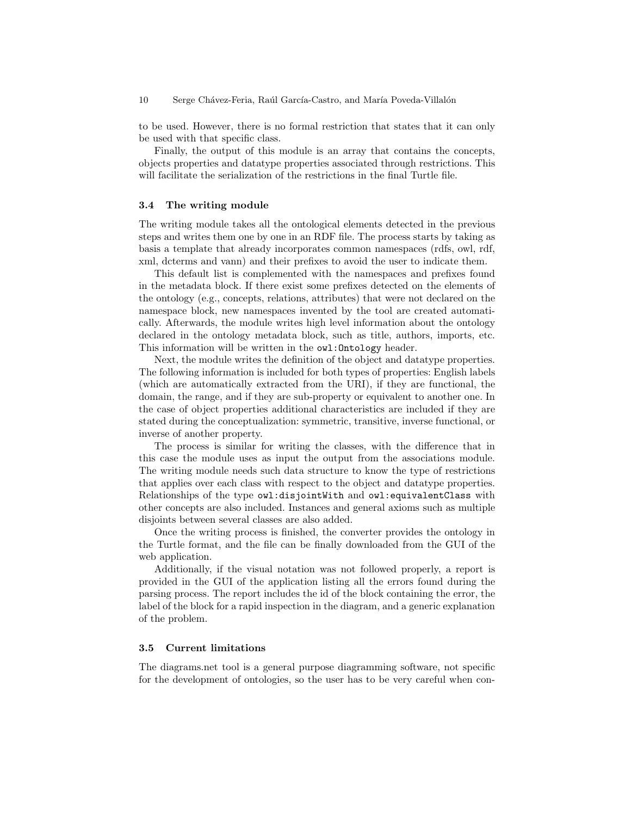to be used. However, there is no formal restriction that states that it can only be used with that specific class.

Finally, the output of this module is an array that contains the concepts, objects properties and datatype properties associated through restrictions. This will facilitate the serialization of the restrictions in the final Turtle file.

#### 3.4 The writing module

The writing module takes all the ontological elements detected in the previous steps and writes them one by one in an RDF file. The process starts by taking as basis a template that already incorporates common namespaces (rdfs, owl, rdf, xml, dcterms and vann) and their prefixes to avoid the user to indicate them.

This default list is complemented with the namespaces and prefixes found in the metadata block. If there exist some prefixes detected on the elements of the ontology (e.g., concepts, relations, attributes) that were not declared on the namespace block, new namespaces invented by the tool are created automatically. Afterwards, the module writes high level information about the ontology declared in the ontology metadata block, such as title, authors, imports, etc. This information will be written in the  $\text{owl:Ontology header}.$ 

Next, the module writes the definition of the object and datatype properties. The following information is included for both types of properties: English labels (which are automatically extracted from the URI), if they are functional, the domain, the range, and if they are sub-property or equivalent to another one. In the case of object properties additional characteristics are included if they are stated during the conceptualization: symmetric, transitive, inverse functional, or inverse of another property.

The process is similar for writing the classes, with the difference that in this case the module uses as input the output from the associations module. The writing module needs such data structure to know the type of restrictions that applies over each class with respect to the object and datatype properties. Relationships of the type owl:disjointWith and owl:equivalentClass with other concepts are also included. Instances and general axioms such as multiple disjoints between several classes are also added.

Once the writing process is finished, the converter provides the ontology in the Turtle format, and the file can be finally downloaded from the GUI of the web application.

Additionally, if the visual notation was not followed properly, a report is provided in the GUI of the application listing all the errors found during the parsing process. The report includes the id of the block containing the error, the label of the block for a rapid inspection in the diagram, and a generic explanation of the problem.

#### 3.5 Current limitations

The diagrams.net tool is a general purpose diagramming software, not specific for the development of ontologies, so the user has to be very careful when con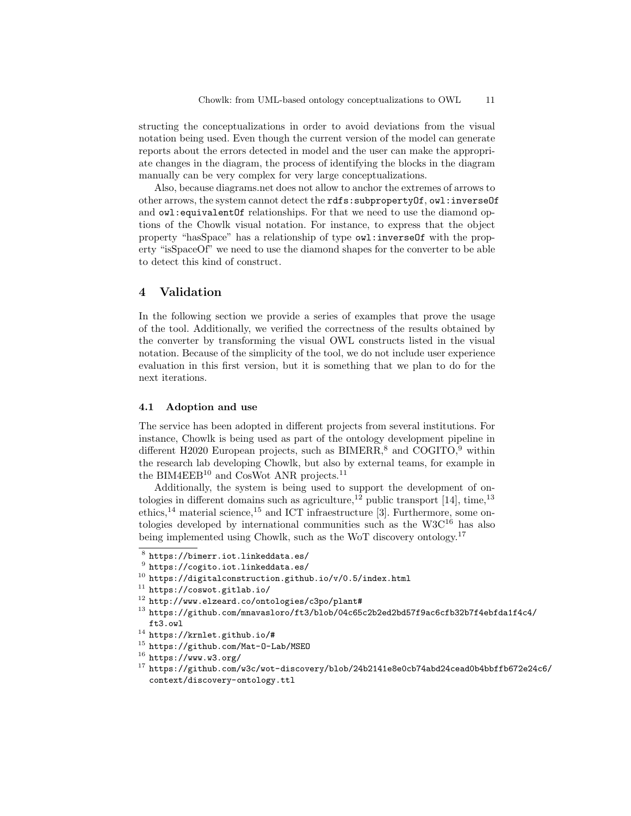structing the conceptualizations in order to avoid deviations from the visual notation being used. Even though the current version of the model can generate reports about the errors detected in model and the user can make the appropriate changes in the diagram, the process of identifying the blocks in the diagram manually can be very complex for very large conceptualizations.

Also, because diagrams.net does not allow to anchor the extremes of arrows to other arrows, the system cannot detect the rdfs:subpropertyOf, owl:inverseOf and  $\text{out:equivalentOf relationships.}$  For that we need to use the diamond options of the Chowlk visual notation. For instance, to express that the object property "hasSpace" has a relationship of type  $\text{owl:inverseOf}$  with the property "isSpaceOf" we need to use the diamond shapes for the converter to be able to detect this kind of construct.

# 4 Validation

In the following section we provide a series of examples that prove the usage of the tool. Additionally, we verified the correctness of the results obtained by the converter by transforming the visual OWL constructs listed in the visual notation. Because of the simplicity of the tool, we do not include user experience evaluation in this first version, but it is something that we plan to do for the next iterations.

# 4.1 Adoption and use

The service has been adopted in different projects from several institutions. For instance, Chowlk is being used as part of the ontology development pipeline in different H2020 European projects, such as  $BIMERR<sup>8</sup>$  and COGITO,<sup>9</sup> within the research lab developing Chowlk, but also by external teams, for example in the BIM4EEB<sup>10</sup> and CosWot ANR projects.<sup>11</sup>

Additionally, the system is being used to support the development of ontologies in different domains such as agriculture,<sup>12</sup> public transport [14], time,<sup>13</sup> ethics,<sup>14</sup> material science,<sup>15</sup> and ICT infraestructure [3]. Furthermore, some ontologies developed by international communities such as the  $W3C^{16}$  has also being implemented using Chowlk, such as the WoT discovery ontology.<sup>17</sup>

- <sup>13</sup> https://github.com/mnavasloro/ft3/blob/04c65c2b2ed2bd57f9ac6cfb32b7f4ebfda1f4c4/ ft3.owl
- <sup>14</sup> https://krnlet.github.io/#
- <sup>15</sup> https://github.com/Mat-O-Lab/MSEO
- $^{16}$  https://www.w3.org/

 $^8$  https://bimerr.iot.linkeddata.es/

 $^9$  https://cogito.iot.linkeddata.es/

<sup>10</sup> https://digitalconstruction.github.io/v/0.5/index.html

 $11$  https://coswot.gitlab.io/

<sup>12</sup> http://www.elzeard.co/ontologies/c3po/plant#

<sup>17</sup> https://github.com/w3c/wot-discovery/blob/24b2141e8e0cb74abd24cead0b4bbffb672e24c6/ context/discovery-ontology.ttl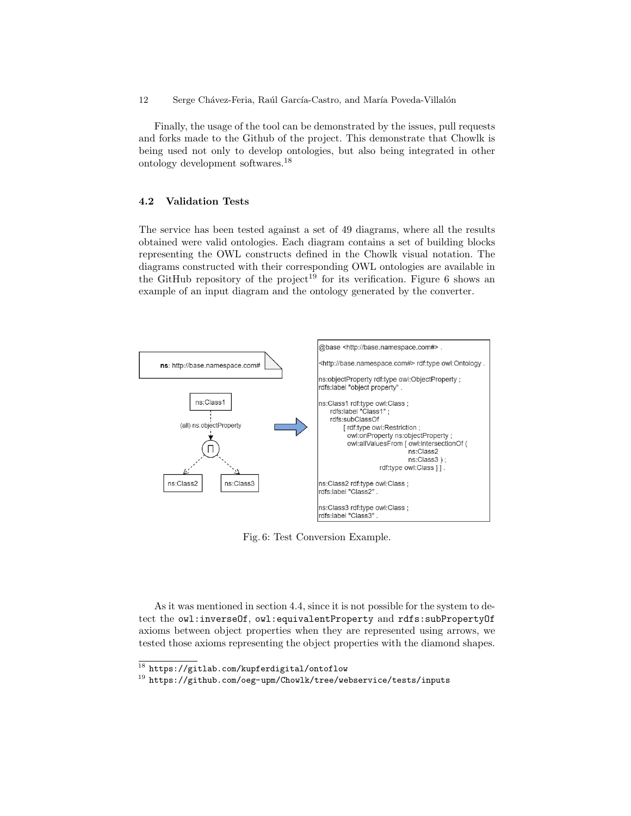Finally, the usage of the tool can be demonstrated by the issues, pull requests and forks made to the Github of the project. This demonstrate that Chowlk is being used not only to develop ontologies, but also being integrated in other ontology development softwares.<sup>18</sup>

## 4.2 Validation Tests

The service has been tested against a set of 49 diagrams, where all the results obtained were valid ontologies. Each diagram contains a set of building blocks representing the OWL constructs defined in the Chowlk visual notation. The diagrams constructed with their corresponding OWL ontologies are available in the GitHub repository of the project<sup>19</sup> for its verification. Figure 6 shows an example of an input diagram and the ontology generated by the converter.



Fig. 6: Test Conversion Example.

As it was mentioned in section 4.4, since it is not possible for the system to detect the owl:inverseOf, owl:equivalentProperty and rdfs:subPropertyOf axioms between object properties when they are represented using arrows, we tested those axioms representing the object properties with the diamond shapes.

 $^{18}$  https://gitlab.com/kupferdigital/ontoflow

<sup>19</sup> https://github.com/oeg-upm/Chowlk/tree/webservice/tests/inputs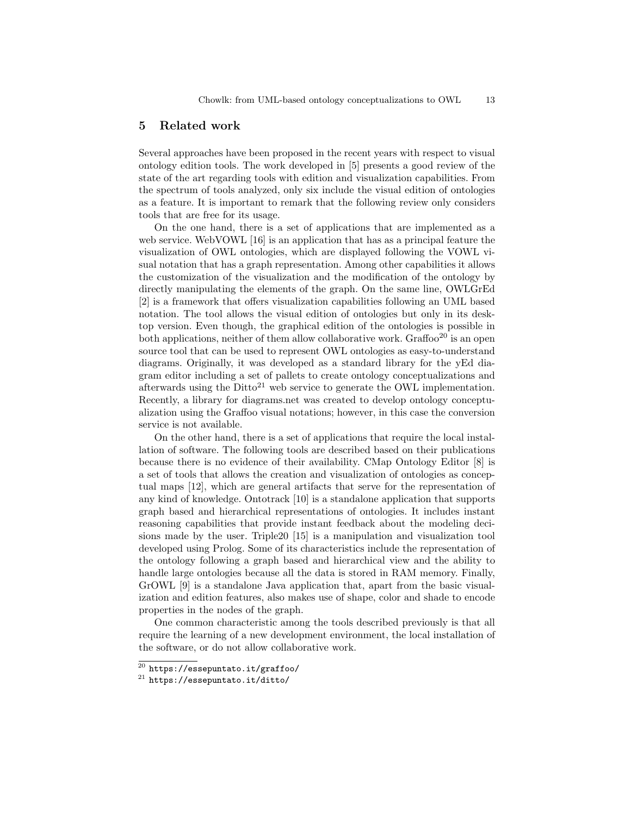### 5 Related work

Several approaches have been proposed in the recent years with respect to visual ontology edition tools. The work developed in [5] presents a good review of the state of the art regarding tools with edition and visualization capabilities. From the spectrum of tools analyzed, only six include the visual edition of ontologies as a feature. It is important to remark that the following review only considers tools that are free for its usage.

On the one hand, there is a set of applications that are implemented as a web service. WebVOWL [16] is an application that has as a principal feature the visualization of OWL ontologies, which are displayed following the VOWL visual notation that has a graph representation. Among other capabilities it allows the customization of the visualization and the modification of the ontology by directly manipulating the elements of the graph. On the same line, OWLGrEd [2] is a framework that offers visualization capabilities following an UML based notation. The tool allows the visual edition of ontologies but only in its desktop version. Even though, the graphical edition of the ontologies is possible in both applications, neither of them allow collaborative work.  $Graffoo<sup>20</sup>$  is an open source tool that can be used to represent OWL ontologies as easy-to-understand diagrams. Originally, it was developed as a standard library for the yEd diagram editor including a set of pallets to create ontology conceptualizations and afterwards using the  $\text{Ditto}^{21}$  web service to generate the OWL implementation. Recently, a library for diagrams.net was created to develop ontology conceptualization using the Graffoo visual notations; however, in this case the conversion service is not available.

On the other hand, there is a set of applications that require the local installation of software. The following tools are described based on their publications because there is no evidence of their availability. CMap Ontology Editor [8] is a set of tools that allows the creation and visualization of ontologies as conceptual maps [12], which are general artifacts that serve for the representation of any kind of knowledge. Ontotrack [10] is a standalone application that supports graph based and hierarchical representations of ontologies. It includes instant reasoning capabilities that provide instant feedback about the modeling decisions made by the user. Triple20 [15] is a manipulation and visualization tool developed using Prolog. Some of its characteristics include the representation of the ontology following a graph based and hierarchical view and the ability to handle large ontologies because all the data is stored in RAM memory. Finally, GrOWL [9] is a standalone Java application that, apart from the basic visualization and edition features, also makes use of shape, color and shade to encode properties in the nodes of the graph.

One common characteristic among the tools described previously is that all require the learning of a new development environment, the local installation of the software, or do not allow collaborative work.

 $^{20}$  https://essepuntato.it/graffoo/

<sup>21</sup> https://essepuntato.it/ditto/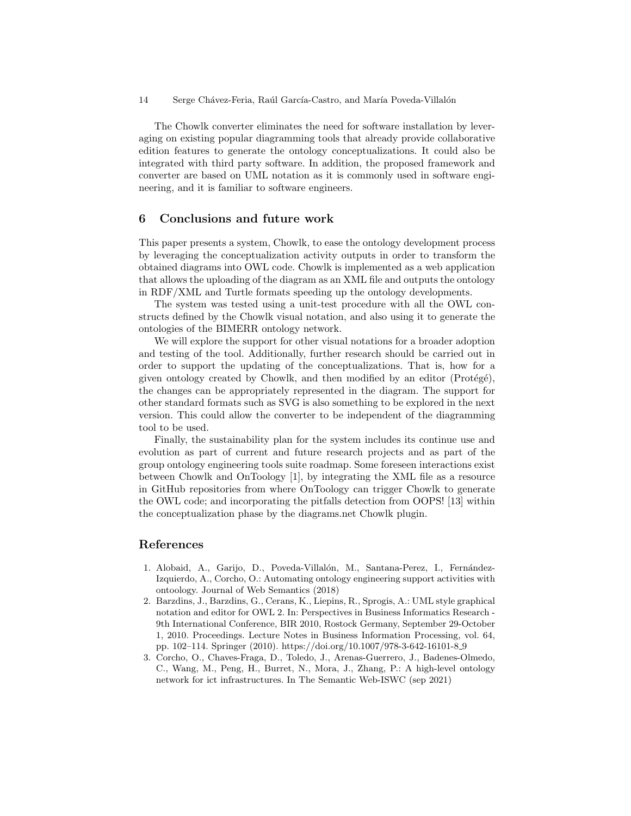The Chowlk converter eliminates the need for software installation by leveraging on existing popular diagramming tools that already provide collaborative edition features to generate the ontology conceptualizations. It could also be integrated with third party software. In addition, the proposed framework and converter are based on UML notation as it is commonly used in software engineering, and it is familiar to software engineers.

# 6 Conclusions and future work

This paper presents a system, Chowlk, to ease the ontology development process by leveraging the conceptualization activity outputs in order to transform the obtained diagrams into OWL code. Chowlk is implemented as a web application that allows the uploading of the diagram as an XML file and outputs the ontology in RDF/XML and Turtle formats speeding up the ontology developments.

The system was tested using a unit-test procedure with all the OWL constructs defined by the Chowlk visual notation, and also using it to generate the ontologies of the BIMERR ontology network.

We will explore the support for other visual notations for a broader adoption and testing of the tool. Additionally, further research should be carried out in order to support the updating of the conceptualizations. That is, how for a given ontology created by Chowlk, and then modified by an editor  $(Prot\acute{e}g\acute{e})$ , the changes can be appropriately represented in the diagram. The support for other standard formats such as SVG is also something to be explored in the next version. This could allow the converter to be independent of the diagramming tool to be used.

Finally, the sustainability plan for the system includes its continue use and evolution as part of current and future research projects and as part of the group ontology engineering tools suite roadmap. Some foreseen interactions exist between Chowlk and OnToology [1], by integrating the XML file as a resource in GitHub repositories from where OnToology can trigger Chowlk to generate the OWL code; and incorporating the pitfalls detection from OOPS! [13] within the conceptualization phase by the diagrams.net Chowlk plugin.

# References

- 1. Alobaid, A., Garijo, D., Poveda-Villalón, M., Santana-Perez, I., Fernández-Izquierdo, A., Corcho, O.: Automating ontology engineering support activities with ontoology. Journal of Web Semantics (2018)
- 2. Barzdins, J., Barzdins, G., Cerans, K., Liepins, R., Sprogis, A.: UML style graphical notation and editor for OWL 2. In: Perspectives in Business Informatics Research - 9th International Conference, BIR 2010, Rostock Germany, September 29-October 1, 2010. Proceedings. Lecture Notes in Business Information Processing, vol. 64, pp. 102–114. Springer (2010). https://doi.org/10.1007/978-3-642-16101-8 9
- 3. Corcho, O., Chaves-Fraga, D., Toledo, J., Arenas-Guerrero, J., Badenes-Olmedo, C., Wang, M., Peng, H., Burret, N., Mora, J., Zhang, P.: A high-level ontology network for ict infrastructures. In The Semantic Web-ISWC (sep 2021)